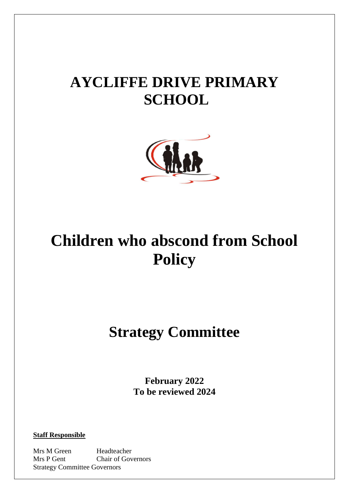# **AYCLIFFE DRIVE PRIMARY SCHOOL**



# **Children who abscond from School Policy**

# **Strategy Committee**

**February 2022 To be reviewed 2024**

**Staff Responsible**

Mrs M Green Headteacher Mrs P Gent Chair of Governors Strategy Committee Governors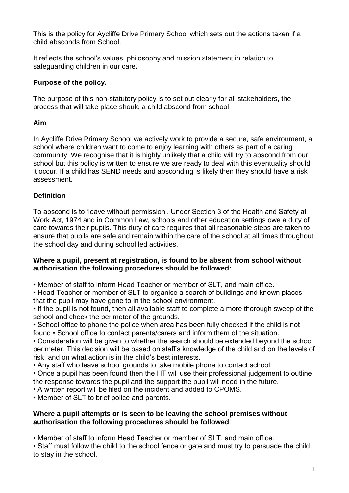This is the policy for Aycliffe Drive Primary School which sets out the actions taken if a child absconds from School.

It reflects the school's values, philosophy and mission statement in relation to safeguarding children in our care**.** 

# **Purpose of the policy.**

The purpose of this non-statutory policy is to set out clearly for all stakeholders, the process that will take place should a child abscond from school.

# **Aim**

In Aycliffe Drive Primary School we actively work to provide a secure, safe environment, a school where children want to come to enjoy learning with others as part of a caring community. We recognise that it is highly unlikely that a child will try to abscond from our school but this policy is written to ensure we are ready to deal with this eventuality should it occur. If a child has SEND needs and absconding is likely then they should have a risk assessment.

### **Definition**

To abscond is to 'leave without permission'. Under Section 3 of the Health and Safety at Work Act, 1974 and in Common Law, schools and other education settings owe a duty of care towards their pupils. This duty of care requires that all reasonable steps are taken to ensure that pupils are safe and remain within the care of the school at all times throughout the school day and during school led activities.

#### **Where a pupil, present at registration, is found to be absent from school without authorisation the following procedures should be followed:**

• Member of staff to inform Head Teacher or member of SLT, and main office.

• Head Teacher or member of SLT to organise a search of buildings and known places that the pupil may have gone to in the school environment.

• If the pupil is not found, then all available staff to complete a more thorough sweep of the school and check the perimeter of the grounds.

• School office to phone the police when area has been fully checked if the child is not found • School office to contact parents/carers and inform them of the situation.

• Consideration will be given to whether the search should be extended beyond the school perimeter. This decision will be based on staff's knowledge of the child and on the levels of risk, and on what action is in the child's best interests.

• Any staff who leave school grounds to take mobile phone to contact school.

• Once a pupil has been found then the HT will use their professional judgement to outline the response towards the pupil and the support the pupil will need in the future.

• A written report will be filed on the incident and added to CPOMS.

• Member of SLT to brief police and parents.

#### **Where a pupil attempts or is seen to be leaving the school premises without authorisation the following procedures should be followed**:

• Member of staff to inform Head Teacher or member of SLT, and main office.

• Staff must follow the child to the school fence or gate and must try to persuade the child to stay in the school.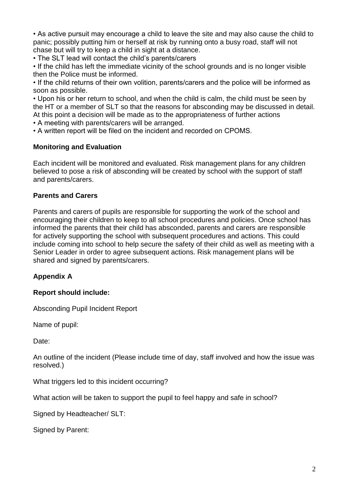• As active pursuit may encourage a child to leave the site and may also cause the child to panic; possibly putting him or herself at risk by running onto a busy road, staff will not chase but will try to keep a child in sight at a distance.

• The SLT lead will contact the child's parents/carers

• If the child has left the immediate vicinity of the school grounds and is no longer visible then the Police must be informed.

• If the child returns of their own volition, parents/carers and the police will be informed as soon as possible.

• Upon his or her return to school, and when the child is calm, the child must be seen by the HT or a member of SLT so that the reasons for absconding may be discussed in detail. At this point a decision will be made as to the appropriateness of further actions

• A meeting with parents/carers will be arranged.

• A written report will be filed on the incident and recorded on CPOMS.

#### **Monitoring and Evaluation**

Each incident will be monitored and evaluated. Risk management plans for any children believed to pose a risk of absconding will be created by school with the support of staff and parents/carers.

#### **Parents and Carers**

Parents and carers of pupils are responsible for supporting the work of the school and encouraging their children to keep to all school procedures and policies. Once school has informed the parents that their child has absconded, parents and carers are responsible for actively supporting the school with subsequent procedures and actions. This could include coming into school to help secure the safety of their child as well as meeting with a Senior Leader in order to agree subsequent actions. Risk management plans will be shared and signed by parents/carers.

#### **Appendix A**

#### **Report should include:**

Absconding Pupil Incident Report

Name of pupil:

Date:

An outline of the incident (Please include time of day, staff involved and how the issue was resolved.)

What triggers led to this incident occurring?

What action will be taken to support the pupil to feel happy and safe in school?

Signed by Headteacher/ SLT:

Signed by Parent: